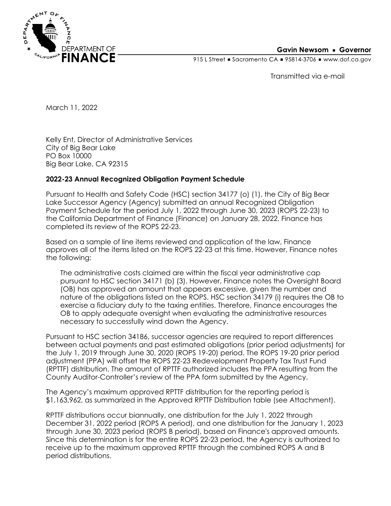

## **Gavin Newsom • Governor**

915 L Street Gacramento CA = 95814-3706 Www.dof.ca.gov

Transmitted via e-mail

March 11, 2022

Kelly Ent, Director of Administrative Services City of Big Bear Lake PO Box 10000 Big Bear Lake, CA 92315

## **2022-23 Annual Recognized Obligation Payment Schedule**

Pursuant to Health and Safety Code (HSC) section 34177 (o) (1), the City of Big Bear Lake Successor Agency (Agency) submitted an annual Recognized Obligation Payment Schedule for the period July 1, 2022 through June 30, 2023 (ROPS 22-23) to the California Department of Finance (Finance) on January 28, 2022. Finance has completed its review of the ROPS 22-23.

Based on a sample of line items reviewed and application of the law, Finance approves all of the items listed on the ROPS 22-23 at this time. However, Finance notes the following:

The administrative costs claimed are within the fiscal year administrative cap pursuant to HSC section 34171 (b) (3). However, Finance notes the Oversight Board (OB) has approved an amount that appears excessive, given the number and nature of the obligations listed on the ROPS. HSC section 34179 (i) requires the OB to exercise a fiduciary duty to the taxing entities. Therefore, Finance encourages the OB to apply adequate oversight when evaluating the administrative resources necessary to successfully wind down the Agency.

Pursuant to HSC section 34186, successor agencies are required to report differences between actual payments and past estimated obligations (prior period adjustments) for the July 1, 2019 through June 30, 2020 (ROPS 19-20) period. The ROPS 19-20 prior period adjustment (PPA) will offset the ROPS 22-23 Redevelopment Property Tax Trust Fund (RPTTF) distribution. The amount of RPTTF authorized includes the PPA resulting from the County Auditor-Controller's review of the PPA form submitted by the Agency.

The Agency's maximum approved RPTTF distribution for the reporting period is \$1,163,962, as summarized in the Approved RPTTF Distribution table (see Attachment).

RPTTF distributions occur biannually, one distribution for the July 1, 2022 through December 31, 2022 period (ROPS A period), and one distribution for the January 1, 2023 through June 30, 2023 period (ROPS B period), based on Finance's approved amounts. Since this determination is for the entire ROPS 22-23 period, the Agency is authorized to receive up to the maximum approved RPTTF through the combined ROPS A and B period distributions.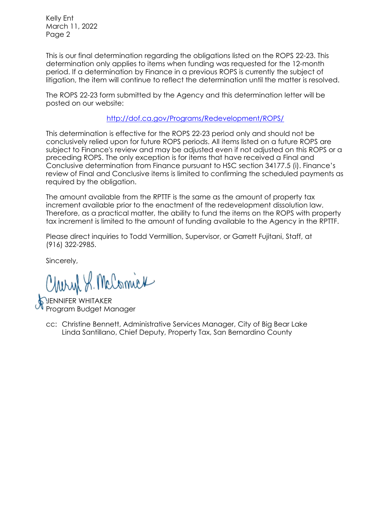Kelly Ent March 11, 2022 Page 2

This is our final determination regarding the obligations listed on the ROPS 22-23. This determination only applies to items when funding was requested for the 12-month period. If a determination by Finance in a previous ROPS is currently the subject of litigation, the item will continue to reflect the determination until the matter is resolved.

The ROPS 22-23 form submitted by the Agency and this determination letter will be posted on our website:

<http://dof.ca.gov/Programs/Redevelopment/ROPS/>

This determination is effective for the ROPS 22-23 period only and should not be conclusively relied upon for future ROPS periods. All items listed on a future ROPS are subject to Finance's review and may be adjusted even if not adjusted on this ROPS or a preceding ROPS. The only exception is for items that have received a Final and Conclusive determination from Finance pursuant to HSC section 34177.5 (i). Finance's review of Final and Conclusive items is limited to confirming the scheduled payments as required by the obligation.

The amount available from the RPTTF is the same as the amount of property tax increment available prior to the enactment of the redevelopment dissolution law. Therefore, as a practical matter, the ability to fund the items on the ROPS with property tax increment is limited to the amount of funding available to the Agency in the RPTTF.

Please direct inquiries to Todd Vermillion, Supervisor, or Garrett Fujitani, Staff, at (916) 322-2985.

Sincerely,

Charyl S. McComick

JENNIFER WHITAKER Program Budget Manager

cc: Christine Bennett, Administrative Services Manager, City of Big Bear Lake Linda Santillano, Chief Deputy, Property Tax, San Bernardino County